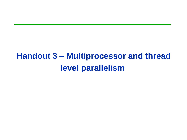# **Handout 3 – Multiprocessor and thread level parallelism**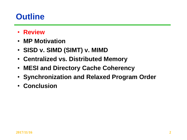## **Outline**

- **Review**
- **MP Motivation**
- **SISD v. SIMD (SIMT) v. MIMD**
- **Centralized vs. Distributed Memory**
- **MESI and Directory Cache Coherency**
- **Synchronization and Relaxed Program Order**
- **Conclusion**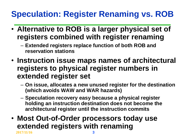# **Speculation: Register Renaming vs. ROB**

- **Alternative to ROB is a larger physical set of registers combined with register renaming**
	- **Extended registers replace function of both ROB and reservation stations**
- **Instruction issue maps names of architectural registers to physical register numbers in extended register set**
	- **On issue, allocates a new unused register for the destination (which avoids WAW and WAR hazards)**
	- **Speculation recovery easy because a physical register holding an instruction destination does not become the architectural register until the instruction commits**
- **2017/11/16 3** • **Most Out-of-Order processors today use extended registers with renaming**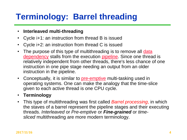# **Terminology: Barrel threading**

#### • **Interleaved multi-threading**

- Cycle i+1: an instruction from thread B is issued
- Cycle i+2: an instruction from thread C is issued
- [The purpose of this type of multithreading is to remove all](http://en.wikipedia.org/wiki/Data_dependency) data dependency stalls from the execution [pipeline.](http://en.wikipedia.org/wiki/Pipeline_(computing)) Since one thread is relatively independent from other threads, there's less chance of one instruction in one pipe stage needing an output from an older instruction in the pipeline.
- Conceptually, it is similar to **[pre-emptive](http://en.wikipedia.org/wiki/Preemption_(computing))** multi-tasking used in operating systems. One can make the analogy that the time-slice given to each active thread is one CPU cycle.

#### • **Terminology**

• This type of multithreading was first called *Barrel processing*, in which the staves of a barrel represent the pipeline stages and their executing threads. *Interleaved* or *Pre-emptive* or *Fine-grained* or *timesliced* multithreading are more modern terminology.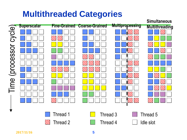# **Multithreaded Categories**

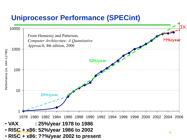#### **Uniprocessor Performance (SPECint)**



Performance (vs. VAX-11/780) Performance (vs. VAX-11/780)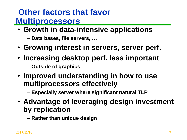#### **Other factors that favor Multiprocessors**

- **Growth in data-intensive applications**
	- **Data bases, file servers, …**
- **Growing interest in servers, server perf.**
- **Increasing desktop perf. less important**  – **Outside of graphics**
- **Improved understanding in how to use multiprocessors effectively** 
	- **Especially server where significant natural TLP**
- **Advantage of leveraging design investment by replication** 
	- **Rather than unique design**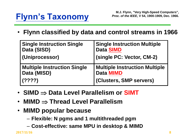# **Flynn's Taxonomy**

• **Flynn classified by data and control streams in 1966**

| <b>Single Instruction Single</b>   | <b>Single Instruction Multiple</b>   |
|------------------------------------|--------------------------------------|
| Data (SISD)                        | <b>Data SIMD</b>                     |
| (Uniprocessor)                     | (single PC: Vector, CM-2)            |
| <b>Multiple Instruction Single</b> | <b>Multiple Instruction Multiple</b> |
| Data (MISD)                        | <b>Data MIMD</b>                     |
| (????)                             | <b>(Clusters, SMP servers)</b>       |

- **SIMD**  $\Rightarrow$  Data Level Parallelism or **SIMT**
- **MIMD**  $\Rightarrow$  Thread Level Parallelism
- **MIMD popular because** 
	- **Flexible: N pgms and 1 multithreaded pgm**
	- **Cost-effective: same MPU in desktop & MIMD**

**2017/11/16 8**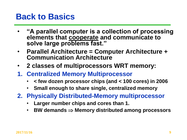#### **Back to Basics**

- **"A parallel computer is a collection of processing elements that cooperate and communicate to solve large problems fast."**
- **Parallel Architecture = Computer Architecture + Communication Architecture**
- **2 classes of multiprocessors WRT memory:**
- **1. Centralized Memory Multiprocessor**
	- **< few dozen processor chips (and < 100 cores) in 2006**
	- **Small enough to share single, centralized memory**
- **2. Physically Distributed-Memory multiprocessor**
	- **Larger number chips and cores than 1.**
	- **BW demands Memory distributed among processors**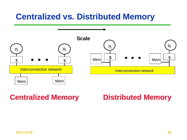#### **Centralized vs. Distributed Memory**



#### **Centralized Memory Distributed Memory**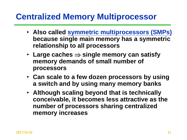#### **Centralized Memory Multiprocessor**

- **Also called symmetric multiprocessors (SMPs) because single main memory has a symmetric relationship to all processors**
- Large caches  $\Rightarrow$  single memory can satisfy **memory demands of small number of processors**
- **Can scale to a few dozen processors by using a switch and by using many memory banks**
- **Although scaling beyond that is technically conceivable, it becomes less attractive as the number of processors sharing centralized memory increases**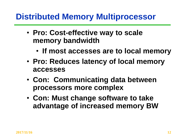#### **Distributed Memory Multiprocessor**

- **Pro: Cost-effective way to scale memory bandwidth** 
	- **If most accesses are to local memory**
- **Pro: Reduces latency of local memory accesses**
- **Con: Communicating data between processors more complex**
- **Con: Must change software to take advantage of increased memory BW**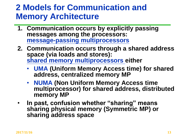#### **2 Models for Communication and Memory Architecture**

- **1. Communication occurs by explicitly passing messages among the processors: message-passing multiprocessors**
- **2. Communication occurs through a shared address space (via loads and stores): shared memory multiprocessors either**
	- **UMA (Uniform Memory Access time) for shared address, centralized memory MP**
	- **NUMA (Non Uniform Memory Access time multiprocessor) for shared address, distributed memory MP**
- **In past, confusion whether "sharing" means sharing physical memory (Symmetric MP) or sharing address space**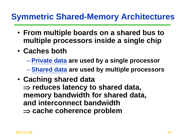#### **Symmetric Shared-Memory Architectures**

- **From multiple boards on a shared bus to multiple processors inside a single chip**
- **Caches both**
	- **Private data are used by a single processor**
	- **Shared data are used by multiple processors**
- **Caching shared data**   $\Rightarrow$  **reduces latency to shared data, memory bandwidth for shared data, and interconnect bandwidth cache coherence problem**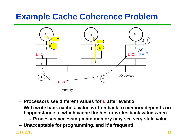### **Example Cache Coherence Problem**



- **Processors see different values for u after event 3**
- **With write back caches, value written back to memory depends on happenstance of which cache flushes or writes back value when**
	- » **Processes accessing main memory may see very stale value**
- **Unacceptable for programming, and it's frequent!**

**2017/11/16 15**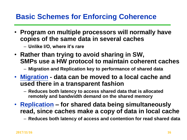#### **Basic Schemes for Enforcing Coherence**

- **Program on multiple processors will normally have copies of the same data in several caches**
	- **Unlike I/O, where it's rare**
- **Rather than trying to avoid sharing in SW, SMPs use a HW protocol to maintain coherent caches**
	- **Migration and Replication key to performance of shared data**
- **Migration - data can be moved to a local cache and used there in a transparent fashion** 
	- **Reduces both latency to access shared data that is allocated remotely and bandwidth demand on the shared memory**
- **Replication – for shared data being simultaneously read, since caches make a copy of data in local cache**
	- **Reduces both latency of access and contention for read shared data**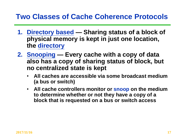#### **Two Classes of Cache Coherence Protocols**

- **1. Directory based — Sharing status of a block of physical memory is kept in just one location, the directory**
- **2. Snooping — Every cache with a copy of data also has a copy of sharing status of block, but no centralized state is kept**
	- **All caches are accessible via some broadcast medium (a bus or switch)**
	- **All cache controllers monitor or snoop on the medium to determine whether or not they have a copy of a block that is requested on a bus or switch access**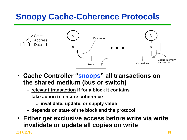# **Snoopy Cache-Coherence Protocols**



- **Cache Controller "snoops" all transactions on the shared medium (bus or switch)**
	- **relevant transaction if for a block it contains**
	- **take action to ensure coherence**
		- » **invalidate, update, or supply value**
	- **depends on state of the block and the protocol**
- **Either get exclusive access before write via write invalidate or update all copies on write**

**2017/11/16 18**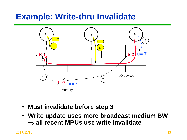### **Example: Write-thru Invalidate**



- **Must invalidate before step 3**
- **Write update uses more broadcast medium BW all recent MPUs use write invalidate**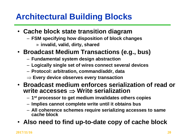# **Architectural Building Blocks**

- **Cache block state transition diagram**
	- **FSM specifying how disposition of block changes** » **invalid, valid, dirty, shared**
- **Broadcast Medium Transactions (e.g., bus)**
	- **Fundamental system design abstraction**
	- **Logically single set of wires connect several devices**
	- **Protocol: arbitration, command/addr, data**
	- **Every device observes every transaction**
- **Broadcast medium enforces serialization of read or write accesses Write serialization**
	- **1 st processor to get medium invalidates others copies**
	- **Implies cannot complete write until it obtains bus**
	- **All coherence schemes require serializing accesses to same cache block**
- **Also need to find up-to-date copy of cache block**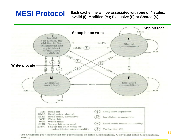#### **MESI Protocol**

**Each cache line will be associated with one of 4 states. Invalid (I); Modified (M); Exclusive (E) or Shared (S)**



 $1991.$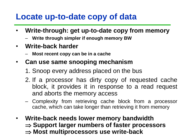### **Locate up-to-date copy of data**

- **Write-through: get up-to-date copy from memory**
	- **Write through simpler if enough memory BW**
- **Write-back harder**
	- **Most recent copy can be in a cache**
- **Can use same snooping mechanism**
	- 1. Snoop every address placed on the bus
	- 2. If a processor has dirty copy of requested cache block, it provides it in response to a read request and aborts the memory access
	- Complexity from retrieving cache block from a processor cache, which can take longer than retrieving it from memory
- $\Rightarrow$  Most multiprocessors use write-back • **Write-back needs lower memory bandwidth ⇒ Support larger numbers of faster processors**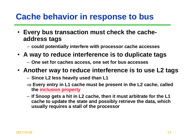#### **Cache behavior in response to bus**

- **Every bus transaction must check the cacheaddress tags**
	- **could potentially interfere with processor cache accesses**
- **A way to reduce interference is to duplicate tags**
	- **One set for caches access, one set for bus accesses**
- **Another way to reduce interference is to use L2 tags**
	- **Since L2 less heavily used than L1**
	- **Every entry in L1 cache must be present in the L2 cache, called the inclusion property**
	- **If Snoop gets a hit in L2 cache, then it must arbitrate for the L1 cache to update the state and possibly retrieve the data, which usually requires a stall of the processor**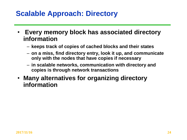#### **Scalable Approach: Directory**

- **Every memory block has associated directory information**
	- **keeps track of copies of cached blocks and their states**
	- **on a miss, find directory entry, look it up, and communicate only with the nodes that have copies if necessary**
	- **in scalable networks, communication with directory and copies is through network transactions**
- **Many alternatives for organizing directory information**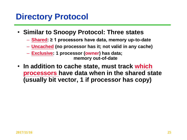#### **Directory Protocol**

- **Similar to Snoopy Protocol: Three states**
	- **Shared: ≥ 1 processors have data, memory up-to-date**
	- **Uncached (no processor has it; not valid in any cache)**
	- **Exclusive: 1 processor (owner) has data;**

**memory out-of-date**

• **In addition to cache state, must track which processors have data when in the shared state (usually bit vector, 1 if processor has copy)**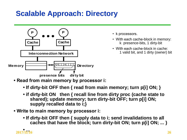#### **Scalable Approach: Directory**



- k processors.
- With each cache-block in memory: k presence-bits, 1 dirty-bit
- With each cache-block in cache: 1 valid bit, and 1 dirty (owner) bit

- **Read from main memory by processor i:**
	- **If dirty-bit OFF then { read from main memory; turn p[i] ON; }**
	- **if dirty-bit ON then { recall line from dirty proc (cache state to shared); update memory; turn dirty-bit OFF; turn p[i] ON; supply recalled data to i;}**
- **Write to main memory by processor i:**
	- **If dirty-bit OFF then { supply data to i; send invalidations to all caches that have the block; turn dirty-bit ON; turn p[i] ON; ... }**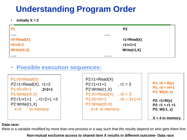### **Understanding Program Order**

 $\cdot$  **Initially X = 2** 

| P <sub>1</sub>     | P <sub>2</sub> |
|--------------------|----------------|
|                    |                |
| $ro = Read(X)$     | $r1 = Read(x)$ |
| $r0 = r0 + 1$      | $r1 = r1 + 1$  |
| <b>Write(r0,X)</b> | Write $(r1,X)$ |
|                    |                |

#### • **Possible execution sequences:**

 $P1: r0 = Read(X)$  $P2: r1 = Read(X), r1 = 2$ P1:r0=r0+1 P2:Write(r1,X) **,3=2+1**  $P1:Write(0,X)$  $P2: r1 = r1 + 1$ ,  $r1 = 2 + 1 = 3$  $P2:Write( r1,X)$  $x=3$  in memory

**P1: r0 = R(x) P1: r0 = r0+1 P1: W(r0, x) P2: r1=R(x) P2: r1 = r1 +1 P2: W(r1, x) X = 4 in memory**

#### **Data race:**

there is a variable modified by more than one process in a way such that the results depend on who gets there first.

**Non-mutual exclusive access to shared item X results in different outcome- Data race**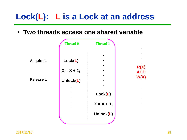# **Lock(L): L is a Lock at an address**

• **Two threads access one shared variable**

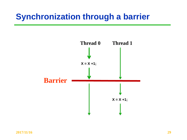### **Synchronization through a barrier**

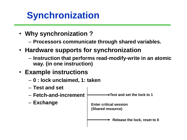# **Synchronization**

- **Why synchronization ?**
	- **Processors communicate through shared variables.**
- **Hardware supports for synchronization**
	- **Instruction that performs read-modify-write in an atomic way. (in one instruction)**

#### • **Example instructions**

- **0 : lock unclaimed, 1: taken**
- **Test and set**
- **Fetch-and-increment**
- **Exchange**

**Test and set the lock to 1**

**Enter critical session (Shared resource)**

**Release the lock, reset to 0**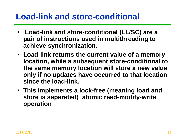#### **Load-link and store-conditional**

- **Load-link and store-conditional (LL/SC) are a pair of instructions used in multithreading to achieve synchronization.**
- **Load-link returns the current value of a memory location, while a subsequent store-conditional to the same memory location will store a new value only if no updates have occurred to that location since the load-link.**
- **This implements a lock-free (meaning load and store is separated) atomic read-modify-write operation**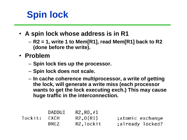# **Spin lock**

- **A spin lock whose address is in R1**
	- **R2 = 1, write 1 to Mem[R1], read Mem[R1] back to R2 (done before the write).**
- **Problem**
	- **Spin lock ties up the processor.**
	- **Spin lock does not scale.**
	- **In cache coherence multiprocessor, a write of getting the lock, will generate a write miss (each processor wants to get the lock executing exch.) This may cause huge traffic in the interconnection.**

|         | DADDUI | R2, R0, #1 |                  |
|---------|--------|------------|------------------|
| lockit: | EXCH   | R2,0(R1)   | ;atomic exchange |
|         | BNEZ   | R2, lockit | ;already locked? |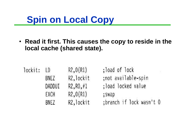# **Spin on Local Copy**

• **Read it first. This causes the copy to reside in the local cache (shared state).**

| lockit: | LD     | R2,0(R1)   | ;load of lock            |
|---------|--------|------------|--------------------------|
|         | BNEZ   | R2, lockit | ;not available-spin      |
|         | DADDUI | R2, R0, #1 | ; load locked value      |
|         | EXCH   | R2,0(R1)   | ; swap                   |
|         | BNEZ   | R2, lockit | ;branch if lock wasn't 0 |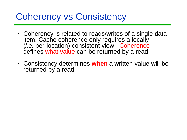# Coherency vs Consistency

- Coherency is related to reads/writes of a single data item. Cache coherence only requires a locally (*i.e.* per-location) consistent view. Coherence defines what value can be returned by a read.
- Consistency determines **when** a written value will be returned by a read.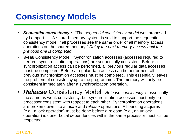## **Consistency Models**

- *Sequential consistency :* "The *sequential consistency model* was proposed by Lamport ... . A shared-memory system is said to support the sequential consistency model if all processes see the same order of all memory access operations on the shared memory." *Delay the next memory access until the previous one is completed.*
- *Weak* Consistency Model: "Synchronization accesses (accesses required to perform synchronization operations) are sequentially consistent. Before a synchronization access can be performed, all previous regular data accesses must be completed. Before a regular data access can be performed, all previous synchronization accesses must be completed. This essentially leaves the problem of consistency up to the programmer. The memory will only be consistent immediately after a synchronization operation."
- *Release* Consistency Model: "*Release consistency* is essentially the same as weak consistency, but synchronization accesses must only be processor consistent with respect to each other. Synchronization operations are broken down into *acquire* and *release* operations. All pending acquires (e.g., a lock operation) must be done before a release (e.g., an unlock operation) is done. Local dependencies within the same processor must still be respected.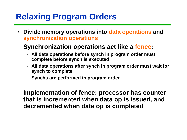### **Relaxing Program Orders**

- **Divide memory operations into data operations and synchronization operations**
- **Synchronization operations act like a fence:**
	- **All data operations before synch in program order must complete before synch is executed**
	- **All data operations after synch in program order must wait for synch to complete**
	- **Synchs are performed in program order**
- **Implementation of fence: processor has counter that is incremented when data op is issued, and decremented when data op is completed**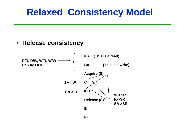# **Relaxed Consistency Model**

#### • **Release consistency**